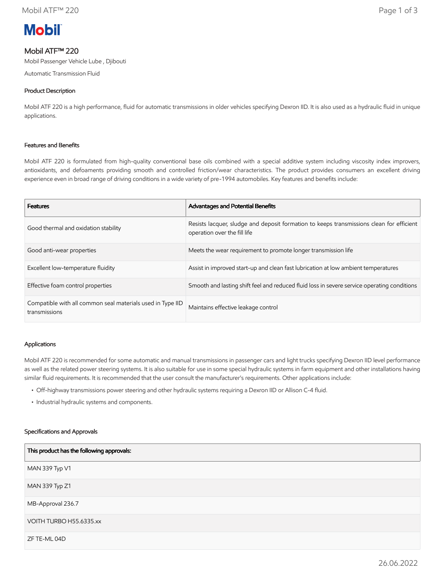

# Mobil ATF™ 220

Mobil Passenger Vehicle Lube , Djibouti

Automatic Transmission Fluid

## Product Description

Mobil ATF 220 is a high performance, fluid for automatic transmissions in older vehicles specifying Dexron IID. It is also used as a hydraulic fluid in unique applications.

## Features and Benefits

Mobil ATF 220 is formulated from high-quality conventional base oils combined with a special additive system including viscosity index improvers, antioxidants, and defoaments providing smooth and controlled friction/wear characteristics. The product provides consumers an excellent driving experience even in broad range of driving conditions in a wide variety of pre-1994 automobiles. Key features and benefits include:

| <b>Features</b>                                                             | Advantages and Potential Benefits                                                                                        |
|-----------------------------------------------------------------------------|--------------------------------------------------------------------------------------------------------------------------|
| Good thermal and oxidation stability                                        | Resists lacquer, sludge and deposit formation to keeps transmissions clean for efficient<br>operation over the fill life |
| Good anti-wear properties                                                   | Meets the wear requirement to promote longer transmission life                                                           |
| Excellent low-temperature fluidity                                          | Assist in improved start-up and clean fast lubrication at low ambient temperatures                                       |
| Effective foam control properties                                           | Smooth and lasting shift feel and reduced fluid loss in severe service operating conditions                              |
| Compatible with all common seal materials used in Type IID<br>transmissions | Maintains effective leakage control                                                                                      |

## Applications

Mobil ATF 220 is recommended for some automatic and manual transmissions in passenger cars and light trucks specifying Dexron IID level performance as well as the related power steering systems. It is also suitable for use in some special hydraulic systems in farm equipment and other installations having similar fluid requirements. It is recommended that the user consult the manufacturer's requirements. Other applications include:

- Off-highway transmissions power steering and other hydraulic systems requiring a Dexron IID or Allison C-4 fluid.
- Industrial hydraulic systems and components.

#### Specifications and Approvals

| This product has the following approvals: |
|-------------------------------------------|
| MAN 339 Typ V1                            |
| MAN 339 Typ Z1                            |
| MB-Approval 236.7                         |
| VOITH TURBO H55.6335.xx                   |
| ZF TE-ML 04D                              |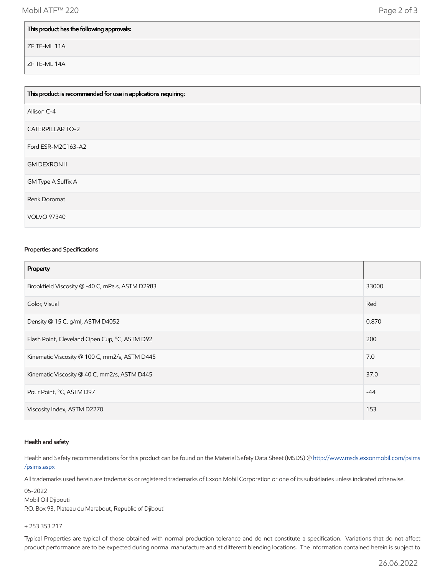## This product has the following approvals:

ZF TE-ML 11A

ZF TE-ML 14A

| This product is recommended for use in applications requiring: |
|----------------------------------------------------------------|
| Allison C-4                                                    |
| <b>CATERPILLAR TO-2</b>                                        |
| Ford ESR-M2C163-A2                                             |
| <b>GM DEXRON II</b>                                            |
| GM Type A Suffix A                                             |
| Renk Doromat                                                   |
| <b>VOLVO 97340</b>                                             |

## Properties and Specifications

| Property                                        |       |
|-------------------------------------------------|-------|
| Brookfield Viscosity @ -40 C, mPa.s, ASTM D2983 | 33000 |
| Color, Visual                                   | Red   |
| Density @ 15 C, g/ml, ASTM D4052                | 0.870 |
| Flash Point, Cleveland Open Cup, °C, ASTM D92   | 200   |
| Kinematic Viscosity @ 100 C, mm2/s, ASTM D445   | 7.0   |
| Kinematic Viscosity @ 40 C, mm2/s, ASTM D445    | 37.0  |
| Pour Point, °C, ASTM D97                        | $-44$ |
| Viscosity Index, ASTM D2270                     | 153   |

#### Health and safety

Health and Safety recommendations for this product can be found on the Material Safety Data Sheet (MSDS) @ [http://www.msds.exxonmobil.com/psims](http://www.msds.exxonmobil.com/psims/psims.aspx) /psims.aspx

All trademarks used herein are trademarks or registered trademarks of Exxon Mobil Corporation or one of its subsidiaries unless indicated otherwise.

05-2022 Mobil Oil Djibouti P.O. Box 93, Plateau du Marabout, Republic of Djibouti

### + 253 353 217

Typical Properties are typical of those obtained with normal production tolerance and do not constitute a specification. Variations that do not affect product performance are to be expected during normal manufacture and at different blending locations. The information contained herein is subject to